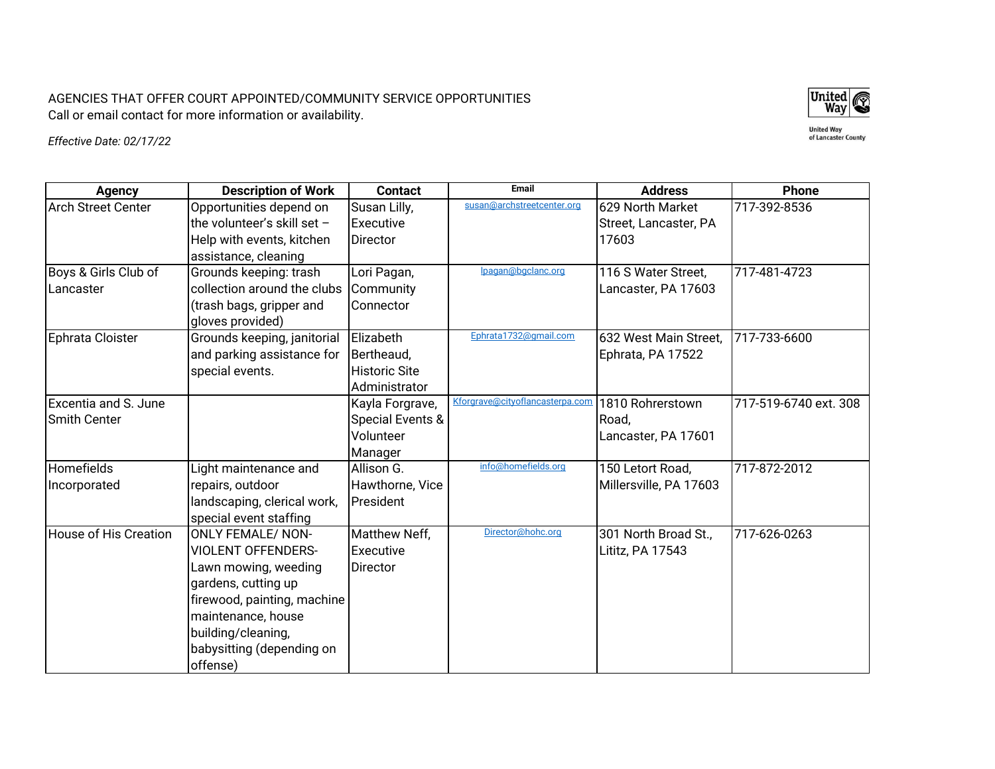AGENCIES THAT OFFER COURT APPOINTED/COMMUNITY SERVICE OPPORTUNITIES Call or email contact for more information or availability.



**United Way<br>of Lancaster County** 

*Effective Date: 02/17/22*

| <b>Agency</b>                | <b>Description of Work</b>    | <b>Contact</b>       | <b>Email</b>                    | <b>Address</b>         | <b>Phone</b>          |
|------------------------------|-------------------------------|----------------------|---------------------------------|------------------------|-----------------------|
| <b>Arch Street Center</b>    | Opportunities depend on       | Susan Lilly,         | susan@archstreetcenter.org      | 629 North Market       | 717-392-8536          |
|                              | the volunteer's skill set $-$ | Executive            |                                 | Street, Lancaster, PA  |                       |
|                              | Help with events, kitchen     | <b>Director</b>      |                                 | 17603                  |                       |
|                              | assistance, cleaning          |                      |                                 |                        |                       |
| Boys & Girls Club of         | Grounds keeping: trash        | Lori Pagan,          | lpagan@bgclanc.org              | 116 S Water Street,    | 717-481-4723          |
| Lancaster                    | collection around the clubs   | Community            |                                 | Lancaster, PA 17603    |                       |
|                              | (trash bags, gripper and      | Connector            |                                 |                        |                       |
|                              | gloves provided)              |                      |                                 |                        |                       |
| Ephrata Cloister             | Grounds keeping, janitorial   | Elizabeth            | Ephrata1732@gmail.com           | 632 West Main Street,  | 717-733-6600          |
|                              | and parking assistance for    | Bertheaud,           |                                 | Ephrata, PA 17522      |                       |
|                              | special events.               | <b>Historic Site</b> |                                 |                        |                       |
|                              |                               | Administrator        |                                 |                        |                       |
| Excentia and S. June         |                               | Kayla Forgrave,      | Kforgrave@cityoflancasterpa.com | 1810 Rohrerstown       | 717-519-6740 ext. 308 |
| <b>Smith Center</b>          |                               | Special Events &     |                                 | Road,                  |                       |
|                              |                               | Volunteer            |                                 | Lancaster, PA 17601    |                       |
|                              |                               | Manager              |                                 |                        |                       |
| <b>Homefields</b>            | Light maintenance and         | Allison G.           | info@homefields.org             | 150 Letort Road,       | 717-872-2012          |
| Incorporated                 | repairs, outdoor              | Hawthorne, Vice      |                                 | Millersville, PA 17603 |                       |
|                              | landscaping, clerical work,   | President            |                                 |                        |                       |
|                              | special event staffing        |                      |                                 |                        |                       |
| <b>House of His Creation</b> | <b>ONLY FEMALE/ NON-</b>      | Matthew Neff,        | Director@hohc.org               | 301 North Broad St.,   | 717-626-0263          |
|                              | <b>VIOLENT OFFENDERS-</b>     | Executive            |                                 | Lititz, PA 17543       |                       |
|                              | Lawn mowing, weeding          | Director             |                                 |                        |                       |
|                              | gardens, cutting up           |                      |                                 |                        |                       |
|                              | firewood, painting, machine   |                      |                                 |                        |                       |
|                              | maintenance, house            |                      |                                 |                        |                       |
|                              | building/cleaning,            |                      |                                 |                        |                       |
|                              | babysitting (depending on     |                      |                                 |                        |                       |
|                              | offense)                      |                      |                                 |                        |                       |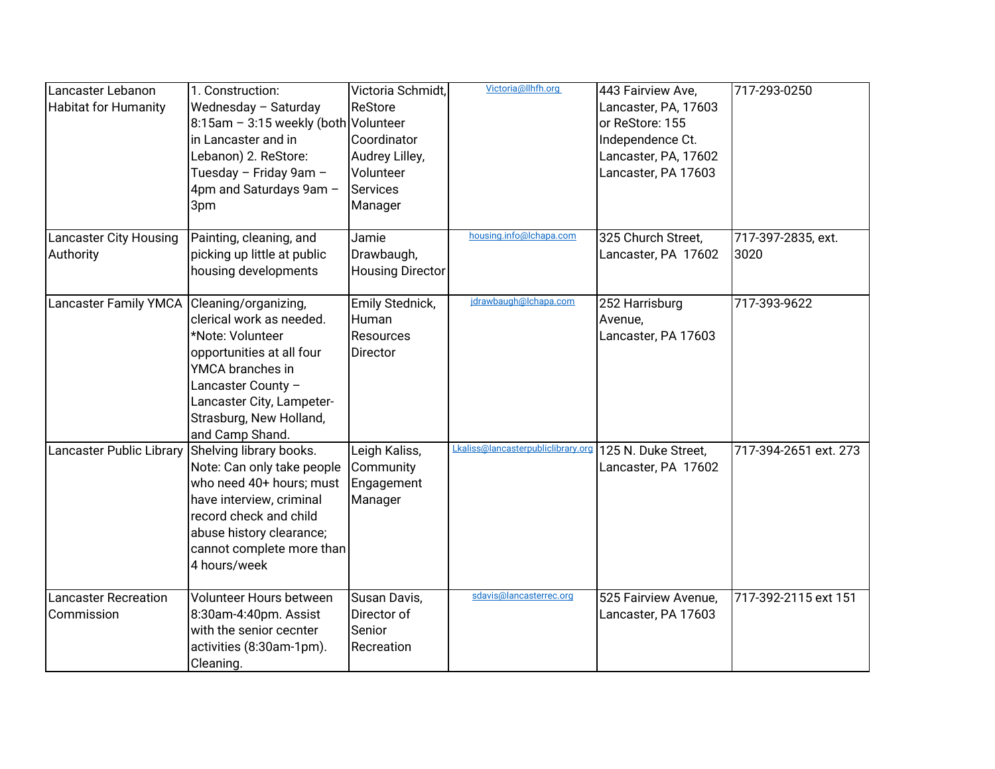| Lancaster Lebanon                                | 1. Construction:                     | Victoria Schmidt,       | Victoria@llhfh.org                 | 443 Fairview Ave,    | 717-293-0250          |
|--------------------------------------------------|--------------------------------------|-------------------------|------------------------------------|----------------------|-----------------------|
| <b>Habitat for Humanity</b>                      | Wednesday - Saturday                 | ReStore                 |                                    | Lancaster, PA, 17603 |                       |
|                                                  | 8:15am - 3:15 weekly (both Volunteer |                         |                                    | or ReStore: 155      |                       |
|                                                  | in Lancaster and in                  | Coordinator             |                                    | Independence Ct.     |                       |
|                                                  | Lebanon) 2. ReStore:                 | Audrey Lilley,          |                                    | Lancaster, PA, 17602 |                       |
|                                                  | Tuesday - Friday 9am -               | Volunteer               |                                    | Lancaster, PA 17603  |                       |
|                                                  | 4pm and Saturdays 9am -              | <b>Services</b>         |                                    |                      |                       |
|                                                  | 3pm                                  | Manager                 |                                    |                      |                       |
| <b>Lancaster City Housing</b>                    | Painting, cleaning, and              | Jamie                   | housing.info@lchapa.com            | 325 Church Street,   | 717-397-2835, ext.    |
| Authority                                        | picking up little at public          | Drawbaugh,              |                                    | Lancaster, PA 17602  | 3020                  |
|                                                  | housing developments                 | <b>Housing Director</b> |                                    |                      |                       |
|                                                  |                                      |                         |                                    |                      |                       |
| Lancaster Family YMCA Cleaning/organizing,       |                                      | Emily Stednick,         | jdrawbaugh@lchapa.com              | 252 Harrisburg       | 717-393-9622          |
|                                                  | clerical work as needed.             | Human                   |                                    | Avenue,              |                       |
|                                                  | *Note: Volunteer                     | Resources               |                                    | Lancaster, PA 17603  |                       |
|                                                  | opportunities at all four            | Director                |                                    |                      |                       |
|                                                  | YMCA branches in                     |                         |                                    |                      |                       |
|                                                  | Lancaster County -                   |                         |                                    |                      |                       |
|                                                  | Lancaster City, Lampeter-            |                         |                                    |                      |                       |
|                                                  | Strasburg, New Holland,              |                         |                                    |                      |                       |
|                                                  | and Camp Shand.                      |                         |                                    |                      |                       |
| Lancaster Public Library Shelving library books. |                                      | Leigh Kaliss,           | Lkaliss@lancasterpubliclibrary.org | 125 N. Duke Street.  | 717-394-2651 ext. 273 |
|                                                  | Note: Can only take people           | Community               |                                    | Lancaster, PA 17602  |                       |
|                                                  | who need 40+ hours; must             | Engagement              |                                    |                      |                       |
|                                                  | have interview, criminal             | Manager                 |                                    |                      |                       |
|                                                  | record check and child               |                         |                                    |                      |                       |
|                                                  | abuse history clearance;             |                         |                                    |                      |                       |
|                                                  | cannot complete more than            |                         |                                    |                      |                       |
|                                                  | 4 hours/week                         |                         |                                    |                      |                       |
| <b>Lancaster Recreation</b>                      | Volunteer Hours between              | Susan Davis,            | sdavis@lancasterrec.org            | 525 Fairview Avenue, | 717-392-2115 ext 151  |
| Commission                                       | 8:30am-4:40pm. Assist                | Director of             |                                    | Lancaster, PA 17603  |                       |
|                                                  | with the senior cecnter              | Senior                  |                                    |                      |                       |
|                                                  | activities (8:30am-1pm).             | Recreation              |                                    |                      |                       |
|                                                  | Cleaning.                            |                         |                                    |                      |                       |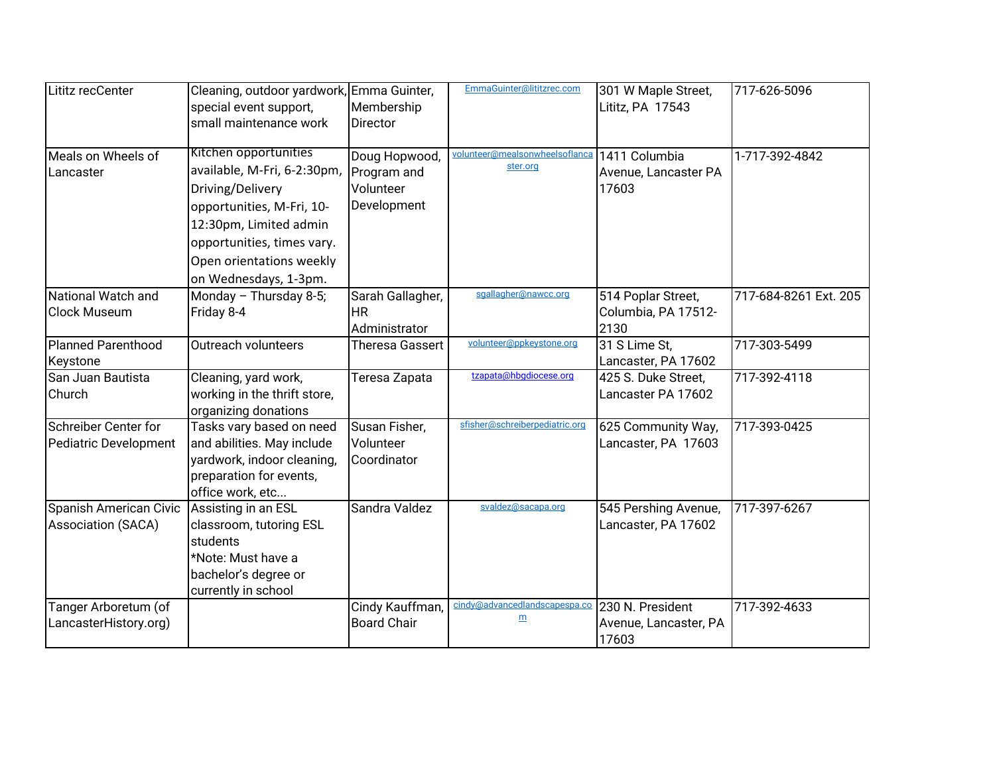| Lititz recCenter                                    | Cleaning, outdoor yardwork, Emma Guinter,<br>special event support,<br>small maintenance work                                                                                                                      | Membership<br>Director                                   | EmmaGuinter@lititzrec.com                  | 301 W Maple Street,<br>Lititz, PA 17543            | 717-626-5096          |
|-----------------------------------------------------|--------------------------------------------------------------------------------------------------------------------------------------------------------------------------------------------------------------------|----------------------------------------------------------|--------------------------------------------|----------------------------------------------------|-----------------------|
| Meals on Wheels of<br>Lancaster                     | Kitchen opportunities<br>available, M-Fri, 6-2:30pm,<br>Driving/Delivery<br>opportunities, M-Fri, 10-<br>12:30pm, Limited admin<br>opportunities, times vary.<br>Open orientations weekly<br>on Wednesdays, 1-3pm. | Doug Hopwood,<br>Program and<br>Volunteer<br>Development | volunteer@mealsonwheelsoflanca<br>ster.org | 1411 Columbia<br>Avenue, Lancaster PA<br>17603     | 1-717-392-4842        |
| National Watch and<br><b>Clock Museum</b>           | Monday - Thursday 8-5;<br>Friday 8-4                                                                                                                                                                               | Sarah Gallagher,<br><b>HR</b><br>Administrator           | sgallagher@nawcc.org                       | 514 Poplar Street,<br>Columbia, PA 17512-<br>2130  | 717-684-8261 Ext. 205 |
| Planned Parenthood<br>Keystone                      | Outreach volunteers                                                                                                                                                                                                | <b>Theresa Gassert</b>                                   | volunteer@ppkeystone.org                   | 31 S Lime St,<br>Lancaster, PA 17602               | 717-303-5499          |
| San Juan Bautista<br>Church                         | Cleaning, yard work,<br>working in the thrift store,<br>organizing donations                                                                                                                                       | Teresa Zapata                                            | tzapata@hbgdiocese.org                     | 425 S. Duke Street,<br>Lancaster PA 17602          | 717-392-4118          |
| Schreiber Center for<br>Pediatric Development       | Tasks vary based on need<br>and abilities. May include<br>yardwork, indoor cleaning,<br>preparation for events,<br>office work, etc                                                                                | Susan Fisher,<br>Volunteer<br>Coordinator                | sfisher@schreiberpediatric.org             | 625 Community Way,<br>Lancaster, PA 17603          | 717-393-0425          |
| Spanish American Civic<br><b>Association (SACA)</b> | Assisting in an ESL<br>classroom, tutoring ESL<br>students<br>*Note: Must have a<br>bachelor's degree or<br>currently in school                                                                                    | Sandra Valdez                                            | svaldez@sacapa.org                         | 545 Pershing Avenue,<br>Lancaster, PA 17602        | 717-397-6267          |
| Tanger Arboretum (of<br>LancasterHistory.org)       |                                                                                                                                                                                                                    | Cindy Kauffman,<br><b>Board Chair</b>                    | cindy@advancedlandscapespa.co<br>m         | 230 N. President<br>Avenue, Lancaster, PA<br>17603 | 717-392-4633          |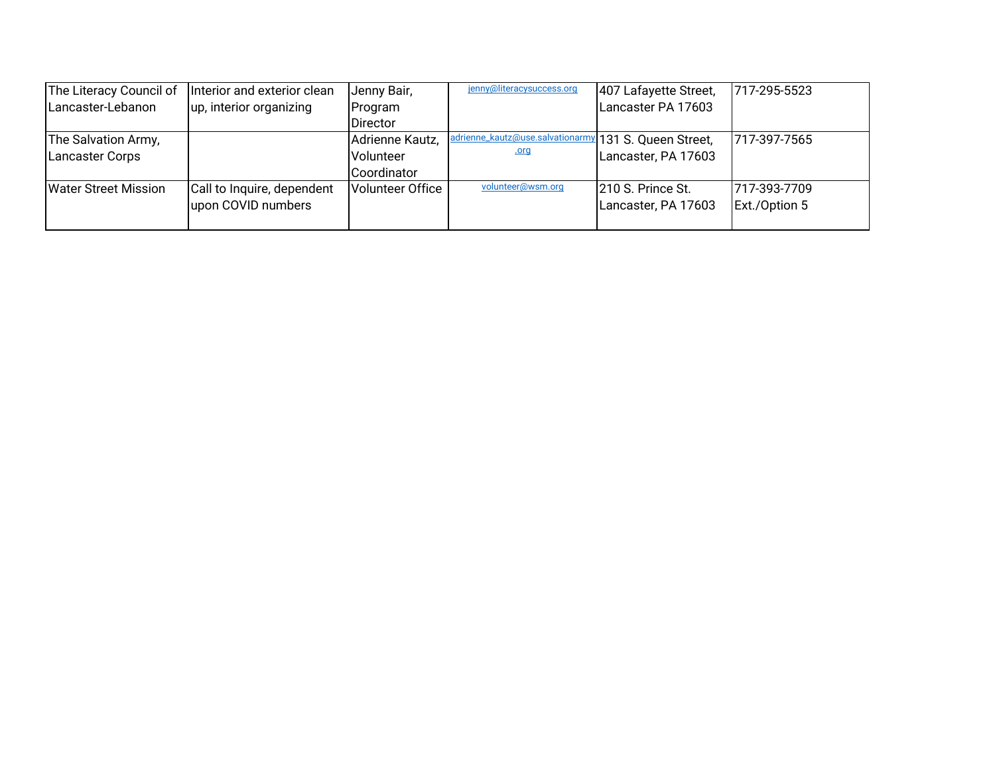| The Literacy Council of | Interior and exterior clean | Jenny Bair,      | jenny@literacysuccess.org                             | 407 Lafayette Street, | 717-295-5523  |
|-------------------------|-----------------------------|------------------|-------------------------------------------------------|-----------------------|---------------|
| Lancaster-Lebanon       | up, interior organizing     | Program          |                                                       | Lancaster PA 17603    |               |
|                         |                             | <b>Director</b>  |                                                       |                       |               |
| The Salvation Army,     |                             | Adrienne Kautz,  | adrienne_kautz@use.salvationarmy 131 S. Queen Street, |                       | 717-397-7565  |
| <b>Lancaster Corps</b>  |                             | Volunteer        | <u>.org</u>                                           | Lancaster, PA 17603   |               |
|                         |                             | Coordinator      |                                                       |                       |               |
| Water Street Mission    | Call to Inquire, dependent  | Volunteer Office | volunteer@wsm.org                                     | 210 S. Prince St.     | 1717-393-7709 |
|                         | upon COVID numbers          |                  |                                                       | Lancaster, PA 17603   | Ext./Option 5 |
|                         |                             |                  |                                                       |                       |               |